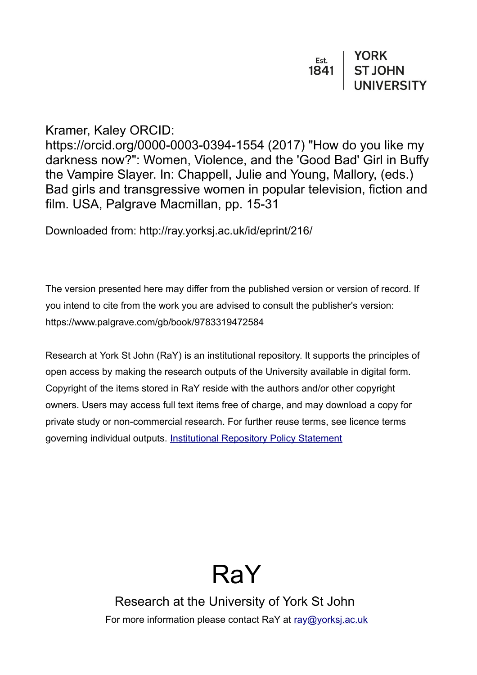| Est. | <b>YORK</b>    |
|------|----------------|
| 1841 | <b>ST JOHN</b> |
|      | UNIVERSITY     |

Kramer, Kaley ORCID:

https://orcid.org/0000-0003-0394-1554 (2017) "How do you like my darkness now?": Women, Violence, and the 'Good Bad' Girl in Buffy the Vampire Slayer. In: Chappell, Julie and Young, Mallory, (eds.) Bad girls and transgressive women in popular television, fiction and film. USA, Palgrave Macmillan, pp. 15-31

Downloaded from: http://ray.yorksj.ac.uk/id/eprint/216/

The version presented here may differ from the published version or version of record. If you intend to cite from the work you are advised to consult the publisher's version: https://www.palgrave.com/gb/book/9783319472584

Research at York St John (RaY) is an institutional repository. It supports the principles of open access by making the research outputs of the University available in digital form. Copyright of the items stored in RaY reside with the authors and/or other copyright owners. Users may access full text items free of charge, and may download a copy for private study or non-commercial research. For further reuse terms, see licence terms governing individual outputs. [Institutional Repository Policy Statement](https://www.yorksj.ac.uk/ils/repository-policies/)



Research at the University of York St John For more information please contact RaY at [ray@yorksj.ac.uk](mailto:ray@yorksj.ac.uk)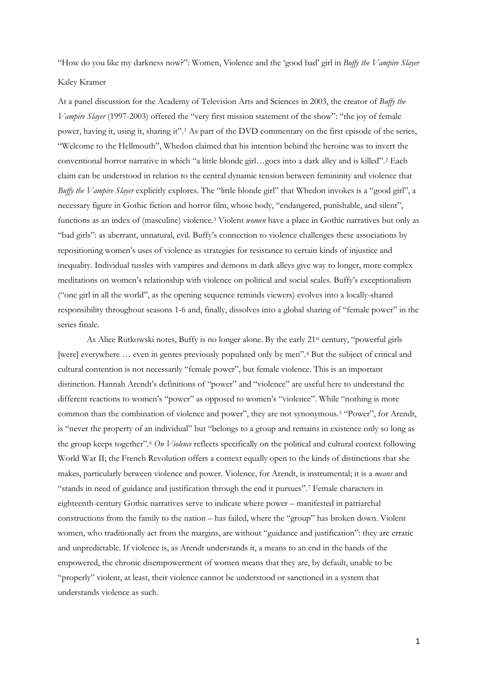"How do you like my darkness now?": Women, Violence and the 'good bad' girl in *Buffy the Vampire Slayer* Kaley Kramer

At a panel discussion for the Academy of Television Arts and Sciences in 2003, the creator of *Buffy the Vampire Slayer* (1997-2003) offered the "very first mission statement of the show": "the joy of female power, having it, using it, sharing it".[1](#page-12-0) As part of the DVD commentary on the first episode of the series, "Welcome to the Hellmouth", Whedon claimed that his intention behind the heroine was to invert the conventional horror narrative in which "a little blonde girl…goes into a dark alley and is killed".[2](#page-12-1) Each claim can be understood in relation to the central dynamic tension between femininity and violence that *Buffy the Vampire Slayer* explicitly explores. The "little blonde girl" that Whedon invokes is a "good girl", a necessary figure in Gothic fiction and horror film, whose body, "endangered, punishable, and silent", functions as an index of (masculine) violence.[3](#page-12-2) Violent *women* have a place in Gothic narratives but only as "bad girls": as aberrant, unnatural, evil. Buffy's connection to violence challenges these associations by repositioning women's uses of violence as strategies for resistance to certain kinds of injustice and inequality. Individual tussles with vampires and demons in dark alleys give way to longer, more complex meditations on women's relationship with violence on political and social scales. Buffy's exceptionalism ("one girl in all the world", as the opening sequence reminds viewers) evolves into a locally-shared responsibility throughout seasons 1-6 and, finally, dissolves into a global sharing of "female power" in the series finale.

As Alice Rutkowski notes, Buffy is no longer alone. By the early 21st century, "powerful girls [were] everywhere … even in genres previously populated only by men".[4](#page-12-3) But the subject of critical and cultural contention is not necessarily "female power", but female violence. This is an important distinction. Hannah Arendt's definitions of "power" and "violence" are useful here to understand the different reactions to women's "power" as opposed to women's "violence". While "nothing is more common than the combination of violence and power", they are not synonymous[.5](#page-12-4) "Power", for Arendt, is "never the property of an individual" but "belongs to a group and remains in existence only so long as the group keeps together".[6](#page-12-5) *On Violence* reflects specifically on the political and cultural context following World War II; the French Revolution offers a context equally open to the kinds of distinctions that she makes, particularly between violence and power. Violence, for Arendt, is instrumental; it is a *means* and "stands in need of guidance and justification through the end it pursues".[7](#page-12-6) Female characters in eighteenth-century Gothic narratives serve to indicate where power – manifested in patriarchal constructions from the family to the nation – has failed, where the "group" has broken down. Violent women, who traditionally act from the margins, are without "guidance and justification": they are erratic and unpredictable. If violence is, as Arendt understands it, a means to an end in the hands of the empowered, the chronic disempowerment of women means that they are, by default, unable to be "properly" violent, at least, their violence cannot be understood or sanctioned in a system that understands violence as such.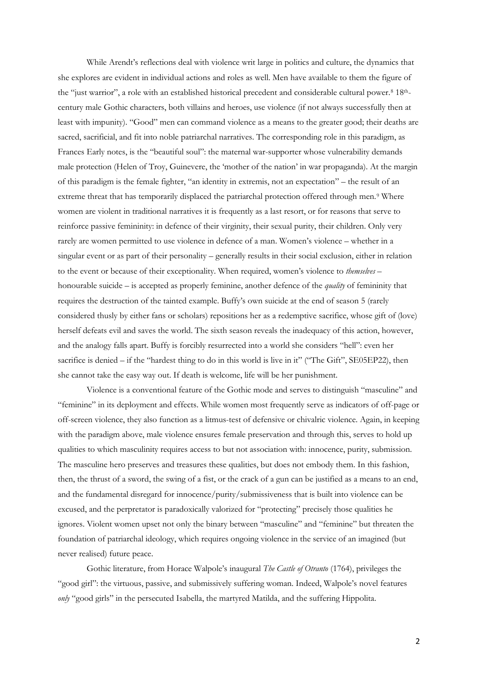While Arendt's reflections deal with violence writ large in politics and culture, the dynamics that she explores are evident in individual actions and roles as well. Men have available to them the figure of the "just warrior", a role with an established historical precedent and considerable cultural power.[8](#page-12-7) 18thcentury male Gothic characters, both villains and heroes, use violence (if not always successfully then at least with impunity). "Good" men can command violence as a means to the greater good; their deaths are sacred, sacrificial, and fit into noble patriarchal narratives. The corresponding role in this paradigm, as Frances Early notes, is the "beautiful soul": the maternal war-supporter whose vulnerability demands male protection (Helen of Troy, Guinevere, the 'mother of the nation' in war propaganda). At the margin of this paradigm is the female fighter, "an identity in extremis, not an expectation" – the result of an extreme threat that has temporarily displaced the patriarchal protection offered through men.<sup>[9](#page-12-8)</sup> Where women are violent in traditional narratives it is frequently as a last resort, or for reasons that serve to reinforce passive femininity: in defence of their virginity, their sexual purity, their children. Only very rarely are women permitted to use violence in defence of a man. Women's violence – whether in a singular event or as part of their personality – generally results in their social exclusion, either in relation to the event or because of their exceptionality. When required, women's violence to *themselves* – honourable suicide – is accepted as properly feminine, another defence of the *quality* of femininity that requires the destruction of the tainted example. Buffy's own suicide at the end of season 5 (rarely considered thusly by either fans or scholars) repositions her as a redemptive sacrifice, whose gift of (love) herself defeats evil and saves the world. The sixth season reveals the inadequacy of this action, however, and the analogy falls apart. Buffy is forcibly resurrected into a world she considers "hell": even her sacrifice is denied – if the "hardest thing to do in this world is live in it" ("The Gift", SE05EP22), then she cannot take the easy way out. If death is welcome, life will be her punishment.

Violence is a conventional feature of the Gothic mode and serves to distinguish "masculine" and "feminine" in its deployment and effects. While women most frequently serve as indicators of off-page or off-screen violence, they also function as a litmus-test of defensive or chivalric violence. Again, in keeping with the paradigm above, male violence ensures female preservation and through this, serves to hold up qualities to which masculinity requires access to but not association with: innocence, purity, submission. The masculine hero preserves and treasures these qualities, but does not embody them. In this fashion, then, the thrust of a sword, the swing of a fist, or the crack of a gun can be justified as a means to an end, and the fundamental disregard for innocence/purity/submissiveness that is built into violence can be excused, and the perpretator is paradoxically valorized for "protecting" precisely those qualities he ignores. Violent women upset not only the binary between "masculine" and "feminine" but threaten the foundation of patriarchal ideology, which requires ongoing violence in the service of an imagined (but never realised) future peace.

Gothic literature, from Horace Walpole's inaugural *The Castle of Otranto* (1764), privileges the "good girl": the virtuous, passive, and submissively suffering woman. Indeed, Walpole's novel features *only* "good girls" in the persecuted Isabella, the martyred Matilda, and the suffering Hippolita.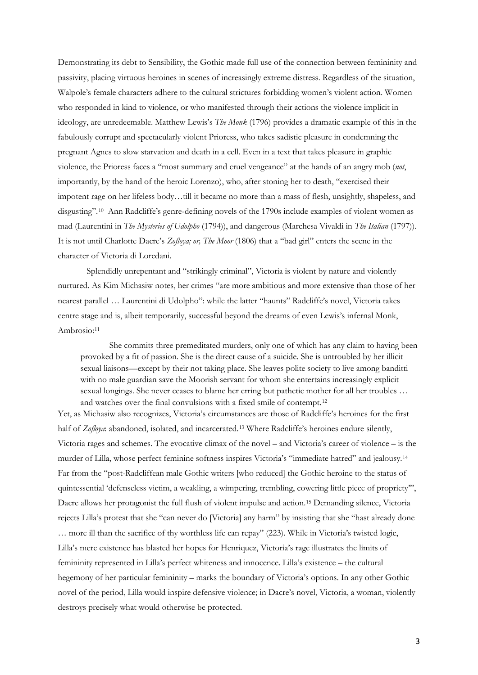Demonstrating its debt to Sensibility, the Gothic made full use of the connection between femininity and passivity, placing virtuous heroines in scenes of increasingly extreme distress. Regardless of the situation, Walpole's female characters adhere to the cultural strictures forbidding women's violent action. Women who responded in kind to violence, or who manifested through their actions the violence implicit in ideology, are unredeemable. Matthew Lewis's *The Monk* (1796) provides a dramatic example of this in the fabulously corrupt and spectacularly violent Prioress, who takes sadistic pleasure in condemning the pregnant Agnes to slow starvation and death in a cell. Even in a text that takes pleasure in graphic violence, the Prioress faces a "most summary and cruel vengeance" at the hands of an angry mob (*not*, importantly, by the hand of the heroic Lorenzo), who, after stoning her to death, "exercised their impotent rage on her lifeless body…till it became no more than a mass of flesh, unsightly, shapeless, and disgusting".[10](#page-12-9) Ann Radcliffe's genre-defining novels of the 1790s include examples of violent women as mad (Laurentini in *The Mysteries of Udolpho* (1794)), and dangerous (Marchesa Vivaldi in *The Italian* (1797)). It is not until Charlotte Dacre's *Zofloya; or, The Moor* (1806) that a "bad girl" enters the scene in the character of Victoria di Loredani.

Splendidly unrepentant and "strikingly criminal", Victoria is violent by nature and violently nurtured. As Kim Michasiw notes, her crimes "are more ambitious and more extensive than those of her nearest parallel … Laurentini di Udolpho": while the latter "haunts" Radcliffe's novel, Victoria takes centre stage and is, albeit temporarily, successful beyond the dreams of even Lewis's infernal Monk, Ambrosio:<sup>[11](#page-12-10)</sup>

She commits three premeditated murders, only one of which has any claim to having been provoked by a fit of passion. She is the direct cause of a suicide. She is untroubled by her illicit sexual liaisons—except by their not taking place. She leaves polite society to live among banditti with no male guardian save the Moorish servant for whom she entertains increasingly explicit sexual longings. She never ceases to blame her erring but pathetic mother for all her troubles … and watches over the final convulsions with a fixed smile of contempt.[12](#page-12-11)

Yet, as Michasiw also recognizes, Victoria's circumstances are those of Radcliffe's heroines for the first half of *Zofloya*: abandoned, isolated, and incarcerated.<sup>[13](#page-12-12)</sup> Where Radcliffe's heroines endure silently, Victoria rages and schemes. The evocative climax of the novel – and Victoria's career of violence – is the murder of Lilla, whose perfect feminine softness inspires Victoria's "immediate hatred" and jealousy.[14](#page-12-13) Far from the "post-Radcliffean male Gothic writers [who reduced] the Gothic heroine to the status of quintessential 'defenseless victim, a weakling, a wimpering, trembling, cowering little piece of propriety'", Dacre allows her protagonist the full flush of violent impulse and action.[15](#page-12-14) Demanding silence, Victoria rejects Lilla's protest that she "can never do [Victoria] any harm" by insisting that she "hast already done … more ill than the sacrifice of thy worthless life can repay" (223). While in Victoria's twisted logic, Lilla's mere existence has blasted her hopes for Henriquez, Victoria's rage illustrates the limits of femininity represented in Lilla's perfect whiteness and innocence. Lilla's existence – the cultural hegemony of her particular femininity – marks the boundary of Victoria's options. In any other Gothic novel of the period, Lilla would inspire defensive violence; in Dacre's novel, Victoria, a woman, violently destroys precisely what would otherwise be protected.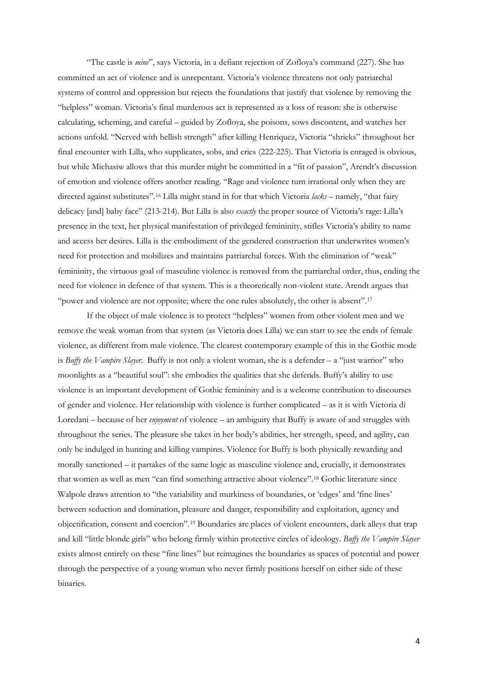"The castle is *mine*", says Victoria, in a defiant rejection of Zofloya's command (227). She has committed an act of violence and is unrepentant. Victoria's violence threatens not only patriarchal systems of control and oppression but rejects the foundations that justify that violence by removing the "helpless" woman. Victoria's final murderous act is represented as a loss of reason: she is otherwise calculating, scheming, and careful – guided by Zofloya, she poisons, sows discontent, and watches her actions unfold. "Nerved with hellish strength" after killing Henriquez, Victoria "shrieks" throughout her final encounter with Lilla, who supplicates, sobs, and cries (222-225). That Victoria is enraged is obvious, but while Michasiw allows that this murder might be committed in a "fit of passion", Arendt's discussion of emotion and violence offers another reading. "Rage and violence turn irrational only when they are directed against substitutes".[16](#page-12-15) Lilla might stand in for that which Victoria *lacks* – namely, "that fairy delicacy [and] baby face" (213-214). But Lilla is also *exactly* the proper source of Victoria's rage: Lilla's presence in the text, her physical manifestation of privileged femininity, stifles Victoria's ability to name and access her desires. Lilla is the embodiment of the gendered construction that underwrites women's need for protection and mobilizes and maintains patriarchal forces. With the elimination of "weak" femininity, the virtuous goal of masculine violence is removed from the patriarchal order, thus, ending the need for violence in defence of that system. This is a theoretically non-violent state. Arendt argues that "power and violence are not opposite; where the one rules absolutely, the other is absent".[17](#page-12-16)

If the object of male violence is to protect "helpless" women from other violent men and we remove the weak woman from that system (as Victoria does Lilla) we can start to see the ends of female violence, as different from male violence. The clearest contemporary example of this in the Gothic mode is *Buffy the Vampire Slayer*. Buffy is not only a violent woman, she is a defender – a "just warrior" who moonlights as a "beautiful soul": she embodies the qualities that she defends. Buffy's ability to use violence is an important development of Gothic femininity and is a welcome contribution to discourses of gender and violence. Her relationship with violence is further complicated – as it is with Victoria di Loredani – because of her *enjoyment* of violence – an ambiguity that Buffy is aware of and struggles with throughout the series. The pleasure she takes in her body's abilities, her strength, speed, and agility, can only be indulged in hunting and killing vampires. Violence for Buffy is both physically rewarding and morally sanctioned – it partakes of the same logic as masculine violence and, crucially, it demonstrates that women as well as men "can find something attractive about violence".[18](#page-12-17) Gothic literature since Walpole draws attention to "the variability and murkiness of boundaries, or 'edges' and 'fine lines' between seduction and domination, pleasure and danger, responsibility and exploitation, agency and objectification, consent and coercion".[19](#page-12-18) Boundaries are places of violent encounters, dark alleys that trap and kill "little blonde girls" who belong firmly within protective circles of ideology. *Buffy the Vampire Slayer* exists almost entirely on these "fine lines" but reimagines the boundaries as spaces of potential and power through the perspective of a young woman who never firmly positions herself on either side of these binaries.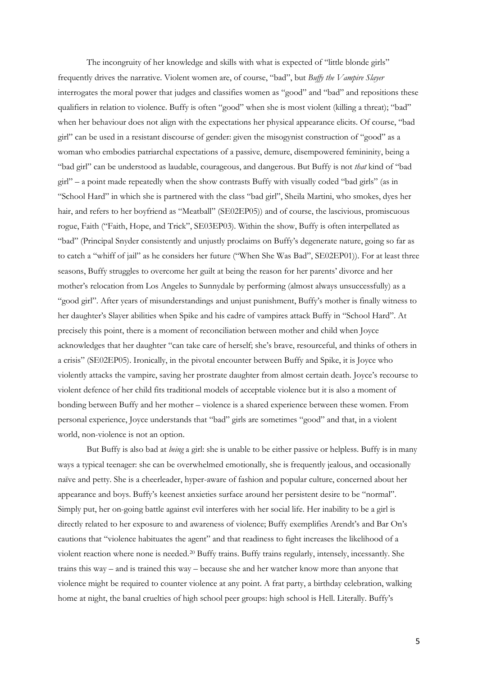The incongruity of her knowledge and skills with what is expected of "little blonde girls" frequently drives the narrative. Violent women are, of course, "bad", but *Buffy the Vampire Slayer*  interrogates the moral power that judges and classifies women as "good" and "bad" and repositions these qualifiers in relation to violence. Buffy is often "good" when she is most violent (killing a threat); "bad" when her behaviour does not align with the expectations her physical appearance elicits. Of course, "bad girl" can be used in a resistant discourse of gender: given the misogynist construction of "good" as a woman who embodies patriarchal expectations of a passive, demure, disempowered femininity, being a "bad girl" can be understood as laudable, courageous, and dangerous. But Buffy is not *that* kind of "bad girl" – a point made repeatedly when the show contrasts Buffy with visually coded "bad girls" (as in "School Hard" in which she is partnered with the class "bad girl", Sheila Martini, who smokes, dyes her hair, and refers to her boyfriend as "Meatball" (SE02EP05)) and of course, the lascivious, promiscuous rogue, Faith ("Faith, Hope, and Trick", SE03EP03). Within the show, Buffy is often interpellated as "bad" (Principal Snyder consistently and unjustly proclaims on Buffy's degenerate nature, going so far as to catch a "whiff of jail" as he considers her future ("When She Was Bad", SE02EP01)). For at least three seasons, Buffy struggles to overcome her guilt at being the reason for her parents' divorce and her mother's relocation from Los Angeles to Sunnydale by performing (almost always unsuccessfully) as a "good girl". After years of misunderstandings and unjust punishment, Buffy's mother is finally witness to her daughter's Slayer abilities when Spike and his cadre of vampires attack Buffy in "School Hard". At precisely this point, there is a moment of reconciliation between mother and child when Joyce acknowledges that her daughter "can take care of herself; she's brave, resourceful, and thinks of others in a crisis" (SE02EP05). Ironically, in the pivotal encounter between Buffy and Spike, it is Joyce who violently attacks the vampire, saving her prostrate daughter from almost certain death. Joyce's recourse to violent defence of her child fits traditional models of acceptable violence but it is also a moment of bonding between Buffy and her mother – violence is a shared experience between these women. From personal experience, Joyce understands that "bad" girls are sometimes "good" and that, in a violent world, non-violence is not an option.

But Buffy is also bad at *being* a girl: she is unable to be either passive or helpless. Buffy is in many ways a typical teenager: she can be overwhelmed emotionally, she is frequently jealous, and occasionally naïve and petty. She is a cheerleader, hyper-aware of fashion and popular culture, concerned about her appearance and boys. Buffy's keenest anxieties surface around her persistent desire to be "normal". Simply put, her on-going battle against evil interferes with her social life. Her inability to be a girl is directly related to her exposure to and awareness of violence; Buffy exemplifies Arendt's and Bar On's cautions that "violence habituates the agent" and that readiness to fight increases the likelihood of a violent reaction where none is needed.[20](#page-12-19) Buffy trains. Buffy trains regularly, intensely, incessantly. She trains this way – and is trained this way – because she and her watcher know more than anyone that violence might be required to counter violence at any point. A frat party, a birthday celebration, walking home at night, the banal cruelties of high school peer groups: high school is Hell. Literally. Buffy's

5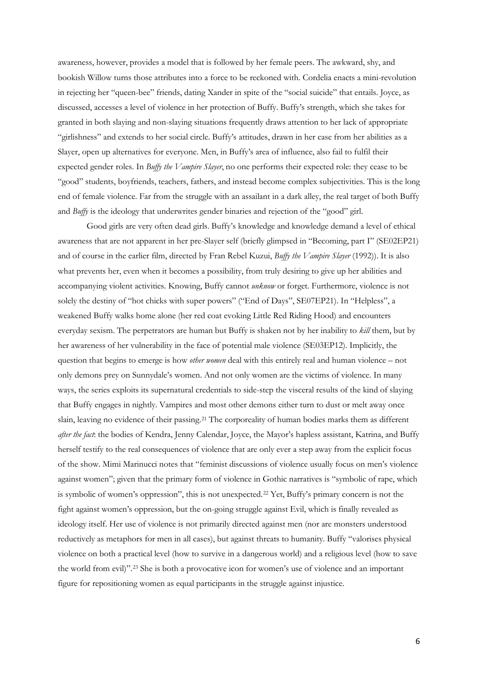awareness, however, provides a model that is followed by her female peers. The awkward, shy, and bookish Willow turns those attributes into a force to be reckoned with. Cordelia enacts a mini-revolution in rejecting her "queen-bee" friends, dating Xander in spite of the "social suicide" that entails. Joyce, as discussed, accesses a level of violence in her protection of Buffy. Buffy's strength, which she takes for granted in both slaying and non-slaying situations frequently draws attention to her lack of appropriate "girlishness" and extends to her social circle. Buffy's attitudes, drawn in her case from her abilities as a Slayer, open up alternatives for everyone. Men, in Buffy's area of influence, also fail to fulfil their expected gender roles. In *Buffy the Vampire Slayer*, no one performs their expected role: they cease to be "good" students, boyfriends, teachers, fathers, and instead become complex subjectivities. This is the long end of female violence. Far from the struggle with an assailant in a dark alley, the real target of both Buffy and *Buffy* is the ideology that underwrites gender binaries and rejection of the "good" girl.

Good girls are very often dead girls. Buffy's knowledge and knowledge demand a level of ethical awareness that are not apparent in her pre-Slayer self (briefly glimpsed in "Becoming, part I" (SE02EP21) and of course in the earlier film, directed by Fran Rebel Kuzui, *Buffy the Vampire Slayer* (1992)). It is also what prevents her, even when it becomes a possibility, from truly desiring to give up her abilities and accompanying violent activities. Knowing, Buffy cannot *unknow* or forget. Furthermore, violence is not solely the destiny of "hot chicks with super powers" ("End of Days", SE07EP21). In "Helpless", a weakened Buffy walks home alone (her red coat evoking Little Red Riding Hood) and encounters everyday sexism. The perpetrators are human but Buffy is shaken not by her inability to *kill* them, but by her awareness of her vulnerability in the face of potential male violence (SE03EP12). Implicitly, the question that begins to emerge is how *other women* deal with this entirely real and human violence – not only demons prey on Sunnydale's women. And not only women are the victims of violence. In many ways, the series exploits its supernatural credentials to side-step the visceral results of the kind of slaying that Buffy engages in nightly. Vampires and most other demons either turn to dust or melt away once slain, leaving no evidence of their passing.[21](#page-12-20) The corporeality of human bodies marks them as different *after the fact*: the bodies of Kendra, Jenny Calendar, Joyce, the Mayor's hapless assistant, Katrina, and Buffy herself testify to the real consequences of violence that are only ever a step away from the explicit focus of the show. Mimi Marinucci notes that "feminist discussions of violence usually focus on men's violence against women"; given that the primary form of violence in Gothic narratives is "symbolic of rape, which is symbolic of women's oppression", this is not unexpected.[22](#page-12-21) Yet, Buffy's primary concern is not the fight against women's oppression, but the on-going struggle against Evil, which is finally revealed as ideology itself. Her use of violence is not primarily directed against men (nor are monsters understood reductively as metaphors for men in all cases), but against threats to humanity. Buffy "valorises physical violence on both a practical level (how to survive in a dangerous world) and a religious level (how to save the world from evil)".[23](#page-12-22) She is both a provocative icon for women's use of violence and an important figure for repositioning women as equal participants in the struggle against injustice.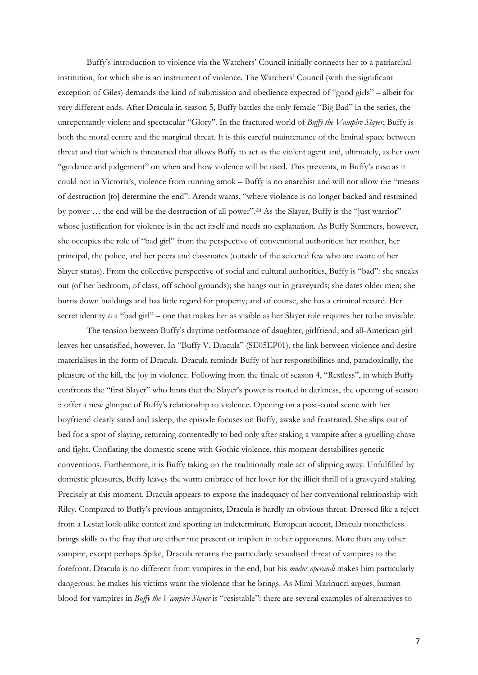Buffy's introduction to violence via the Watchers' Council initially connects her to a patriarchal institution, for which she is an instrument of violence. The Watchers' Council (with the significant exception of Giles) demands the kind of submission and obedience expected of "good girls" – albeit for very different ends. After Dracula in season 5, Buffy battles the only female "Big Bad" in the series, the unrepentantly violent and spectacular "Glory". In the fractured world of *Buffy the Vampire Slayer*, Buffy is both the moral centre and the marginal threat. It is this careful maintenance of the liminal space between threat and that which is threatened that allows Buffy to act as the violent agent and, ultimately, as her own "guidance and judgement" on when and how violence will be used. This prevents, in Buffy's case as it could not in Victoria's, violence from running amok – Buffy is no anarchist and will not allow the "means of destruction [to] determine the end": Arendt warns, "where violence is no longer backed and restrained by power … the end will be the destruction of all power".[24](#page-12-23) As the Slayer, Buffy is the "just warrior" whose justification for violence is in the act itself and needs no explanation. As Buffy Summers, however, she occupies the role of "bad girl" from the perspective of conventional authorities: her mother, her principal, the police, and her peers and classmates (outside of the selected few who are aware of her Slayer status). From the collective perspective of social and cultural authorities, Buffy is "bad": she sneaks out (of her bedroom, of class, off school grounds); she hangs out in graveyards; she dates older men; she burns down buildings and has little regard for property; and of course, she has a criminal record. Her secret identity *is* a "bad girl" – one that makes her as visible as her Slayer role requires her to be invisible.

The tension between Buffy's daytime performance of daughter, girlfriend, and all-American girl leaves her unsatisfied, however. In "Buffy V. Dracula" (SE05EP01), the link between violence and desire materialises in the form of Dracula. Dracula reminds Buffy of her responsibilities and, paradoxically, the pleasure of the kill, the joy in violence. Following from the finale of season 4, "Restless", in which Buffy confronts the "first Slayer" who hints that the Slayer's power is rooted in darkness, the opening of season 5 offer a new glimpse of Buffy's relationship to violence. Opening on a post-coital scene with her boyfriend clearly sated and asleep, the episode focuses on Buffy, awake and frustrated. She slips out of bed for a spot of slaying, returning contentedly to bed only after staking a vampire after a gruelling chase and fight. Conflating the domestic scene with Gothic violence, this moment destabilises generic conventions. Furthermore, it is Buffy taking on the traditionally male act of slipping away. Unfulfilled by domestic pleasures, Buffy leaves the warm embrace of her lover for the illicit thrill of a graveyard staking. Precisely at this moment, Dracula appears to expose the inadequacy of her conventional relationship with Riley. Compared to Buffy's previous antagonists, Dracula is hardly an obvious threat. Dressed like a reject from a Lestat look-alike contest and sporting an indeterminate European accent, Dracula nonetheless brings skills to the fray that are either not present or implicit in other opponents. More than any other vampire, except perhaps Spike, Dracula returns the particularly sexualised threat of vampires to the forefront. Dracula is no different from vampires in the end, but his *modus operandi* makes him particularly dangerous: he makes his victims want the violence that he brings. As Mimi Marinucci argues, human blood for vampires in *Buffy the Vampire Slayer* is "resistable": there are several examples of alternatives to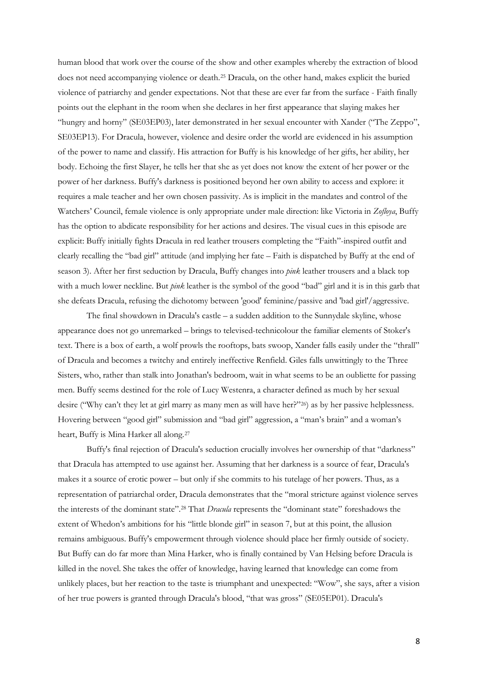human blood that work over the course of the show and other examples whereby the extraction of blood does not need accompanying violence or death.[25](#page-12-24) Dracula, on the other hand, makes explicit the buried violence of patriarchy and gender expectations. Not that these are ever far from the surface - Faith finally points out the elephant in the room when she declares in her first appearance that slaying makes her "hungry and horny" (SE03EP03), later demonstrated in her sexual encounter with Xander ("The Zeppo", SE03EP13). For Dracula, however, violence and desire order the world are evidenced in his assumption of the power to name and classify. His attraction for Buffy is his knowledge of her gifts, her ability, her body. Echoing the first Slayer, he tells her that she as yet does not know the extent of her power or the power of her darkness. Buffy's darkness is positioned beyond her own ability to access and explore: it requires a male teacher and her own chosen passivity. As is implicit in the mandates and control of the Watchers' Council, female violence is only appropriate under male direction: like Victoria in *Zofloya*, Buffy has the option to abdicate responsibility for her actions and desires. The visual cues in this episode are explicit: Buffy initially fights Dracula in red leather trousers completing the "Faith"-inspired outfit and clearly recalling the "bad girl" attitude (and implying her fate – Faith is dispatched by Buffy at the end of season 3). After her first seduction by Dracula, Buffy changes into *pink* leather trousers and a black top with a much lower neckline. But *pink* leather is the symbol of the good "bad" girl and it is in this garb that she defeats Dracula, refusing the dichotomy between 'good' feminine/passive and 'bad girl'/aggressive.

The final showdown in Dracula's castle – a sudden addition to the Sunnydale skyline, whose appearance does not go unremarked – brings to televised-technicolour the familiar elements of Stoker's text. There is a box of earth, a wolf prowls the rooftops, bats swoop, Xander falls easily under the "thrall" of Dracula and becomes a twitchy and entirely ineffective Renfield. Giles falls unwittingly to the Three Sisters, who, rather than stalk into Jonathan's bedroom, wait in what seems to be an oubliette for passing men. Buffy seems destined for the role of Lucy Westenra, a character defined as much by her sexual desire ("Why can't they let at girl marry as many men as will have her?"[26](#page-12-25)) as by her passive helplessness. Hovering between "good girl" submission and "bad girl" aggression, a "man's brain" and a woman's heart, Buffy is Mina Harker all along.[27](#page-12-26)

Buffy's final rejection of Dracula's seduction crucially involves her ownership of that "darkness" that Dracula has attempted to use against her. Assuming that her darkness is a source of fear, Dracula's makes it a source of erotic power – but only if she commits to his tutelage of her powers. Thus, as a representation of patriarchal order, Dracula demonstrates that the "moral stricture against violence serves the interests of the dominant state"[.28](#page-12-27) That *Dracula* represents the "dominant state" foreshadows the extent of Whedon's ambitions for his "little blonde girl" in season 7, but at this point, the allusion remains ambiguous. Buffy's empowerment through violence should place her firmly outside of society. But Buffy can do far more than Mina Harker, who is finally contained by Van Helsing before Dracula is killed in the novel. She takes the offer of knowledge, having learned that knowledge can come from unlikely places, but her reaction to the taste is triumphant and unexpected: "Wow", she says, after a vision of her true powers is granted through Dracula's blood, "that was gross" (SE05EP01). Dracula's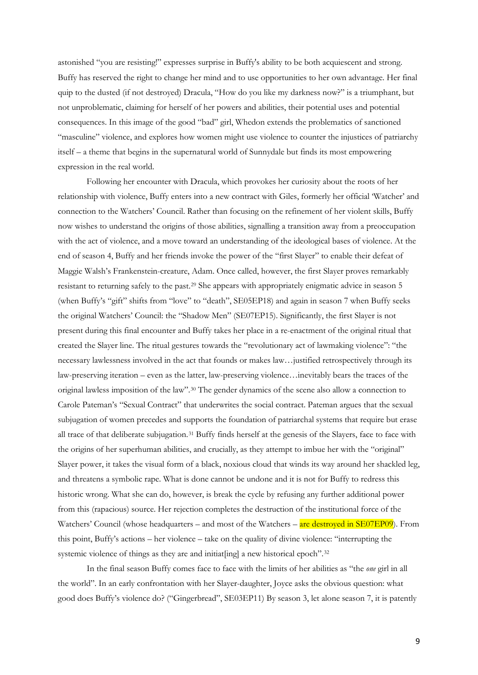astonished "you are resisting!" expresses surprise in Buffy's ability to be both acquiescent and strong. Buffy has reserved the right to change her mind and to use opportunities to her own advantage. Her final quip to the dusted (if not destroyed) Dracula, "How do you like my darkness now?" is a triumphant, but not unproblematic, claiming for herself of her powers and abilities, their potential uses and potential consequences. In this image of the good "bad" girl, Whedon extends the problematics of sanctioned "masculine" violence, and explores how women might use violence to counter the injustices of patriarchy itself – a theme that begins in the supernatural world of Sunnydale but finds its most empowering expression in the real world.

Following her encounter with Dracula, which provokes her curiosity about the roots of her relationship with violence, Buffy enters into a new contract with Giles, formerly her official 'Watcher' and connection to the Watchers' Council. Rather than focusing on the refinement of her violent skills, Buffy now wishes to understand the origins of those abilities, signalling a transition away from a preoccupation with the act of violence, and a move toward an understanding of the ideological bases of violence. At the end of season 4, Buffy and her friends invoke the power of the "first Slayer" to enable their defeat of Maggie Walsh's Frankenstein-creature, Adam. Once called, however, the first Slayer proves remarkably resistant to returning safely to the past.[29](#page-12-28) She appears with appropriately enigmatic advice in season 5 (when Buffy's "gift" shifts from "love" to "death", SE05EP18) and again in season 7 when Buffy seeks the original Watchers' Council: the "Shadow Men" (SE07EP15). Significantly, the first Slayer is not present during this final encounter and Buffy takes her place in a re-enactment of the original ritual that created the Slayer line. The ritual gestures towards the "revolutionary act of lawmaking violence": "the necessary lawlessness involved in the act that founds or makes law…justified retrospectively through its law-preserving iteration – even as the latter, law-preserving violence…inevitably bears the traces of the original lawless imposition of the law".[30](#page-12-29) The gender dynamics of the scene also allow a connection to Carole Pateman's "Sexual Contract" that underwrites the social contract. Pateman argues that the sexual subjugation of women precedes and supports the foundation of patriarchal systems that require but erase all trace of that deliberate subjugation.[31](#page-12-30) Buffy finds herself at the genesis of the Slayers, face to face with the origins of her superhuman abilities, and crucially, as they attempt to imbue her with the "original" Slayer power, it takes the visual form of a black, noxious cloud that winds its way around her shackled leg, and threatens a symbolic rape. What is done cannot be undone and it is not for Buffy to redress this historic wrong. What she can do, however, is break the cycle by refusing any further additional power from this (rapacious) source. Her rejection completes the destruction of the institutional force of the Watchers' Council (whose headquarters – and most of the Watchers – are destroyed in SE07EP09). From this point, Buffy's actions – her violence – take on the quality of divine violence: "interrupting the systemic violence of things as they are and initiat[ing] a new historical epoch".<sup>[32](#page-12-31)</sup>

In the final season Buffy comes face to face with the limits of her abilities as "the *one* girl in all the world". In an early confrontation with her Slayer-daughter, Joyce asks the obvious question: what good does Buffy's violence do? ("Gingerbread", SE03EP11) By season 3, let alone season 7, it is patently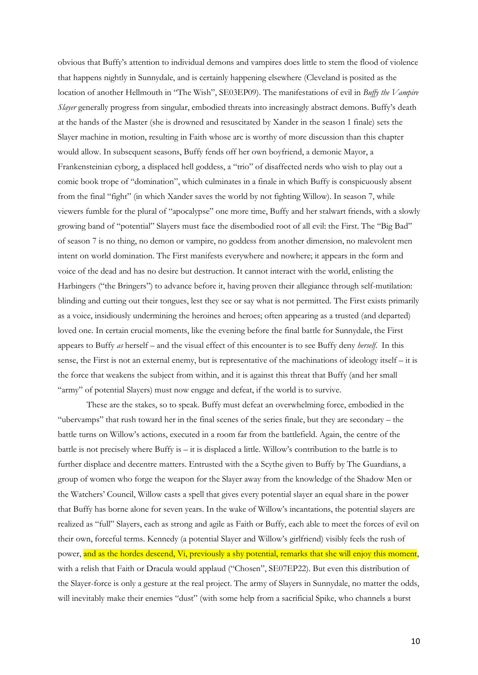obvious that Buffy's attention to individual demons and vampires does little to stem the flood of violence that happens nightly in Sunnydale, and is certainly happening elsewhere (Cleveland is posited as the location of another Hellmouth in "The Wish", SE03EP09). The manifestations of evil in *Buffy the Vampire Slayer* generally progress from singular, embodied threats into increasingly abstract demons. Buffy's death at the hands of the Master (she is drowned and resuscitated by Xander in the season 1 finale) sets the Slayer machine in motion, resulting in Faith whose arc is worthy of more discussion than this chapter would allow. In subsequent seasons, Buffy fends off her own boyfriend, a demonic Mayor, a Frankensteinian cyborg, a displaced hell goddess, a "trio" of disaffected nerds who wish to play out a comic book trope of "domination", which culminates in a finale in which Buffy is conspicuously absent from the final "fight" (in which Xander saves the world by not fighting Willow). In season 7, while viewers fumble for the plural of "apocalypse" one more time, Buffy and her stalwart friends, with a slowly growing band of "potential" Slayers must face the disembodied root of all evil: the First. The "Big Bad" of season 7 is no thing, no demon or vampire, no goddess from another dimension, no malevolent men intent on world domination. The First manifests everywhere and nowhere; it appears in the form and voice of the dead and has no desire but destruction. It cannot interact with the world, enlisting the Harbingers ("the Bringers") to advance before it, having proven their allegiance through self-mutilation: blinding and cutting out their tongues, lest they see or say what is not permitted. The First exists primarily as a voice, insidiously undermining the heroines and heroes; often appearing as a trusted (and departed) loved one. In certain crucial moments, like the evening before the final battle for Sunnydale, the First appears to Buffy *as* herself – and the visual effect of this encounter is to see Buffy deny *herself*. In this sense, the First is not an external enemy, but is representative of the machinations of ideology itself – it is the force that weakens the subject from within, and it is against this threat that Buffy (and her small "army" of potential Slayers) must now engage and defeat, if the world is to survive.

These are the stakes, so to speak. Buffy must defeat an overwhelming force, embodied in the "ubervamps" that rush toward her in the final scenes of the series finale, but they are secondary – the battle turns on Willow's actions, executed in a room far from the battlefield. Again, the centre of the battle is not precisely where Buffy is – it is displaced a little. Willow's contribution to the battle is to further displace and decentre matters. Entrusted with the a Scythe given to Buffy by The Guardians, a group of women who forge the weapon for the Slayer away from the knowledge of the Shadow Men or the Watchers' Council, Willow casts a spell that gives every potential slayer an equal share in the power that Buffy has borne alone for seven years. In the wake of Willow's incantations, the potential slayers are realized as "full" Slayers, each as strong and agile as Faith or Buffy, each able to meet the forces of evil on their own, forceful terms. Kennedy (a potential Slayer and Willow's girlfriend) visibly feels the rush of power, and as the hordes descend, Vi, previously a shy potential, remarks that she will enjoy this moment, with a relish that Faith or Dracula would applaud ("Chosen", SE07EP22). But even this distribution of the Slayer-force is only a gesture at the real project. The army of Slayers in Sunnydale, no matter the odds, will inevitably make their enemies "dust" (with some help from a sacrificial Spike, who channels a burst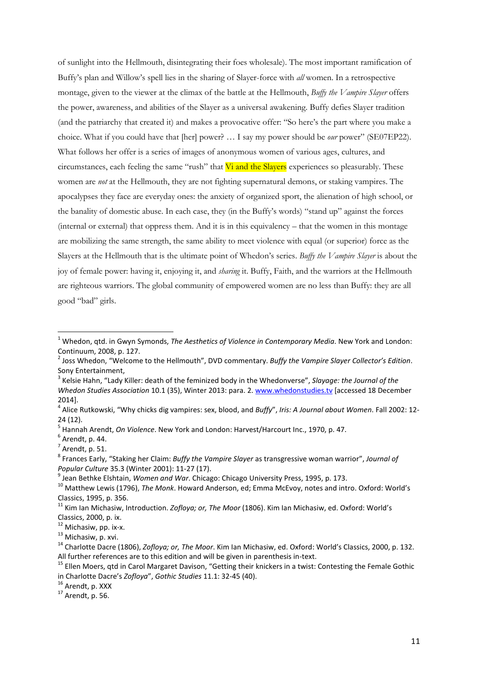of sunlight into the Hellmouth, disintegrating their foes wholesale). The most important ramification of Buffy's plan and Willow's spell lies in the sharing of Slayer-force with *all* women. In a retrospective montage, given to the viewer at the climax of the battle at the Hellmouth, *Buffy the Vampire Slayer* offers the power, awareness, and abilities of the Slayer as a universal awakening. Buffy defies Slayer tradition (and the patriarchy that created it) and makes a provocative offer: "So here's the part where you make a choice. What if you could have that [her] power? … I say my power should be *our* power" (SE07EP22). What follows her offer is a series of images of anonymous women of various ages, cultures, and circumstances, each feeling the same "rush" that Vi and the Slayers experiences so pleasurably. These women are *not* at the Hellmouth, they are not fighting supernatural demons, or staking vampires. The apocalypses they face are everyday ones: the anxiety of organized sport, the alienation of high school, or the banality of domestic abuse. In each case, they (in the Buffy's words) "stand up" against the forces (internal or external) that oppress them. And it is in this equivalency – that the women in this montage are mobilizing the same strength, the same ability to meet violence with equal (or superior) force as the Slayers at the Hellmouth that is the ultimate point of Whedon's series. *Buffy the Vampire Slayer* is about the joy of female power: having it, enjoying it, and *sharing* it. Buffy, Faith, and the warriors at the Hellmouth are righteous warriors. The global community of empowered women are no less than Buffy: they are all good "bad" girls.

<sup>3</sup> Kelsie Hahn, "Lady Killer: death of the feminized body in the Whedonverse", *Slayage: the Journal of the Whedon Studies Association* 10.1 (35), Winter 2013: para. 2. [www.whedonstudies.tv](http://www.whedonstudies.tv/) [accessed 18 December 2014].

 <sup>1</sup> Whedon, qtd. in Gwyn Symonds, *The Aesthetics of Violence in Contemporary Media*. New York and London: Continuum, 2008, p. 127.

<sup>2</sup> Joss Whedon, "Welcome to the Hellmouth", DVD commentary. *Buffy the Vampire Slayer Collector's Edition*. Sony Entertainment,

<sup>4</sup> Alice Rutkowski, "Why chicks dig vampires: sex, blood, and *Buffy*", *Iris: A Journal about Women*. Fall 2002: 12- 24 (12).

<sup>&</sup>lt;sup>5</sup> Hannah Arendt, *On Violence*. New York and London: Harvest/Harcourt Inc., 1970, p. 47.<br><sup>6</sup> Arendt. p. 44.

 $<sup>7</sup>$  Arendt, p. 51.</sup>

<sup>8</sup> Frances Early, "Staking her Claim: *Buffy the Vampire Slayer* as transgressive woman warrior", *Journal of*  Popular Culture 35.3 (Winter 2001): 11-27 (17).<br><sup>9</sup> Jean Bethke Elshtain, *Women and War*. Chicago: Chicago University Press, 1995, p. 173.<br><sup>10</sup> Matthew Lewis (1796), *The Monk*. Howard Anderson, ed; Emma McEvoy, notes and

Classics, 1995, p. 356.<br><sup>11</sup> Kim Ian Michasiw, Introduction. *Zofloya; or, The Moor* (1806). Kim Ian Michasiw, ed. Oxford: World's Classics, 2000, p. ix.<br><sup>12</sup> Michasiw, pp. ix-x.

<sup>&</sup>lt;sup>13</sup> Michasiw, p. xvi.<br><sup>14</sup> Charlotte Dacre (1806), *Zofloya; or, The Moor*. Kim Ian Michasiw, ed. Oxford: World's Classics, 2000, p. 132.<br>All further references are to this edition and will be given in parenthesis in-text

<sup>&</sup>lt;sup>15</sup> Ellen Moers, qtd in Carol Margaret Davison, "Getting their knickers in a twist: Contesting the Female Gothic in Charlotte Dacre's *Zofloya"*, *Gothic Studies* 11.1: 32-45 (40). <sup>16</sup> Arendt, p. XXX<br><sup>17</sup> Arendt. p. 56.